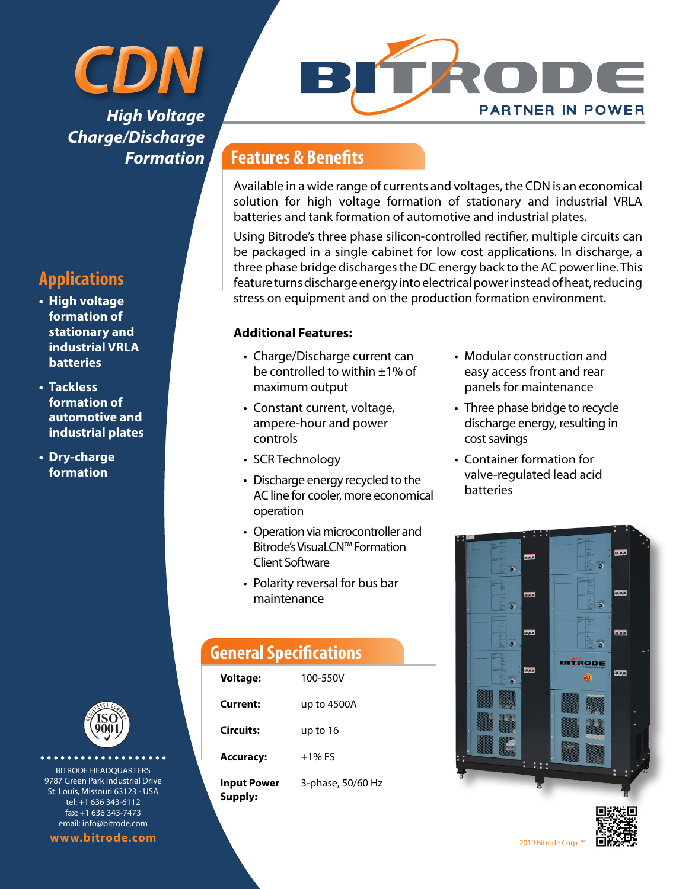## *CDN High Voltage Charge/Discharge Formation*

#### **Applications**

- **• High voltage formation of stationary and industrial VRLA batteries**
- **• Tackless formation of automotive and industrial plates**
- **• Dry-charge formation**



*<u>AAAAAAAAAA</u>* BITRODE HEADQUARTERS 9787 Green Park Industrial Drive St. Louis, Missouri 63123 - USA tel: +1 636 343-6112 fax: +1 636 343-7473 email: info@bitrode.com

**www.bitrode.com** 2019 Bitrode Corp. ™ 2019 Bitrode Corp. ™ 2019 Bitrode Corp.

# **PARTNER IN POWER**

#### **Features & Benefits**

Available in a wide range of currents and voltages, the CDN is an economical solution for high voltage formation of stationary and industrial VRLA batteries and tank formation of automotive and industrial plates.

Using Bitrode's three phase silicon-controlled rectifier, multiple circuits can be packaged in a single cabinet for low cost applications. In discharge, a three phase bridge discharges the DC energy back to the AC power line. This feature turns discharge energy into electrical power instead of heat, reducing stress on equipment and on the production formation environment.

#### **Additional Features:**

- Charge/Discharge current can be controlled to within ±1% of maximum output
- Constant current, voltage, ampere-hour and power controls
- SCR Technology
- Discharge energy recycled to the AC line for cooler, more economical operation
- Operation via microcontroller and Bitrode's VisuaLCN™ Formation Client Software
- Polarity reversal for bus bar maintenance

#### **General Specifications**

| <b>Voltage:</b>        | 100-550V          |
|------------------------|-------------------|
| Current:               | up to 4500A       |
| Circuits:              | up to 16          |
| <b>Accuracy:</b>       | $+1\%$ FS         |
| Input Power<br>Supply: | 3-phase, 50/60 Hz |

- Modular construction and easy access front and rear panels for maintenance
- Three phase bridge to recycle discharge energy, resulting in cost savings
- Container formation for valve-regulated lead acid batteries